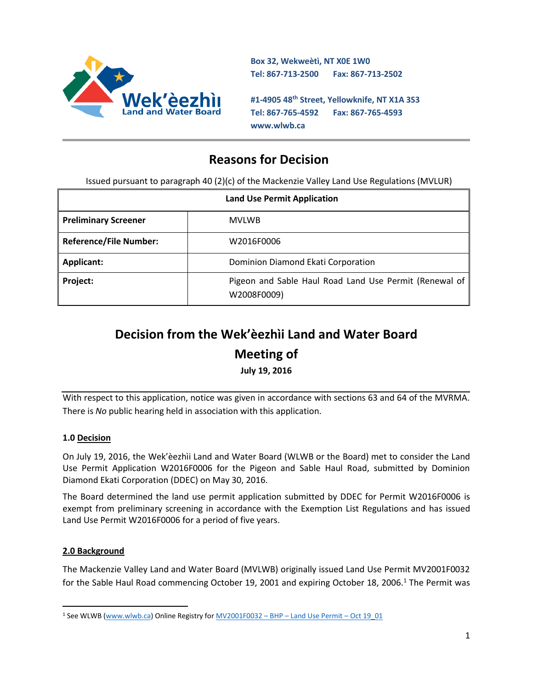

**Box 32, Wekweètì, NT X0E 1W0 Tel: 867-713-2500 Fax: 867-713-2502** 

**#1-4905 48th Street, Yellowknife, NT X1A 3S3 Tel: 867-765-4592 Fax: 867-765-4593 www.wlwb.ca**

# **Reasons for Decision**

Issued pursuant to paragraph 40 (2)(c) of the Mackenzie Valley Land Use Regulations (MVLUR)

| <b>Land Use Permit Application</b> |                                                                       |
|------------------------------------|-----------------------------------------------------------------------|
| <b>Preliminary Screener</b>        | <b>MVLWB</b>                                                          |
| <b>Reference/File Number:</b>      | W2016F0006                                                            |
| <b>Applicant:</b>                  | Dominion Diamond Ekati Corporation                                    |
| Project:                           | Pigeon and Sable Haul Road Land Use Permit (Renewal of<br>W2008F0009) |

# **Decision from the Wek'èezhìi Land and Water Board Meeting of**

**July 19, 2016**

With respect to this application, notice was given in accordance with sections 63 and 64 of the MVRMA. There is *No* public hearing held in association with this application.

## **1.0 Decision**

On July 19, 2016, the Wek'èezhìi Land and Water Board (WLWB or the Board) met to consider the Land Use Permit Application W2016F0006 for the Pigeon and Sable Haul Road, submitted by Dominion Diamond Ekati Corporation (DDEC) on May 30, 2016.

The Board determined the land use permit application submitted by DDEC for Permit W2016F0006 is exempt from preliminary screening in accordance with the Exemption List Regulations and has issued Land Use Permit W2016F0006 for a period of five years.

#### **2.0 Background**

 $\overline{\phantom{a}}$ 

The Mackenzie Valley Land and Water Board (MVLWB) originally issued Land Use Permit MV2001F0032 for the Sable Haul Road commencing October 19, 2001 and expiring October 18, 2006.<sup>1</sup> The Permit was

<sup>1</sup> See WLWB [\(www.wlwb.ca\)](http://www.wlwb.ca/) Online Registry for MV2001F0032 – BHP – [Land Use Permit](http://www.mvlwb.ca/Boards/WLWB/Registry/2001/MV2001F0032/MV2001F0032%20-%20BHP%20-%20Land%20Use%20Permit%20-%20Oct%2019_01.pdf) – Oct 19\_01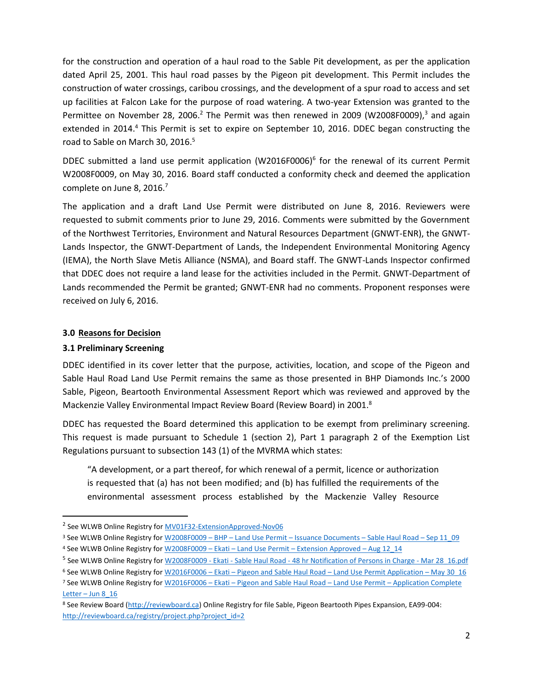for the construction and operation of a haul road to the Sable Pit development, as per the application dated April 25, 2001. This haul road passes by the Pigeon pit development. This Permit includes the construction of water crossings, caribou crossings, and the development of a spur road to access and set up facilities at Falcon Lake for the purpose of road watering. A two-year Extension was granted to the Permittee on November 28, 2006.<sup>2</sup> The Permit was then renewed in 2009 (W2008F0009),<sup>3</sup> and again extended in 2014.<sup>4</sup> This Permit is set to expire on September 10, 2016. DDEC began constructing the road to Sable on March 30, 2016.<sup>5</sup>

DDEC submitted a land use permit application (W2016F0006)<sup>6</sup> for the renewal of its current Permit W2008F0009, on May 30, 2016. Board staff conducted a conformity check and deemed the application complete on June 8, 2016.<sup>7</sup>

The application and a draft Land Use Permit were distributed on June 8, 2016. Reviewers were requested to submit comments prior to June 29, 2016. Comments were submitted by the Government of the Northwest Territories, Environment and Natural Resources Department (GNWT-ENR), the GNWT-Lands Inspector, the GNWT-Department of Lands, the Independent Environmental Monitoring Agency (IEMA), the North Slave Metis Alliance (NSMA), and Board staff. The GNWT-Lands Inspector confirmed that DDEC does not require a land lease for the activities included in the Permit. GNWT-Department of Lands recommended the Permit be granted; GNWT-ENR had no comments. Proponent responses were received on July 6, 2016.

#### **3.0 Reasons for Decision**

#### **3.1 Preliminary Screening**

 $\overline{\phantom{a}}$ 

DDEC identified in its cover letter that the purpose, activities, location, and scope of the Pigeon and Sable Haul Road Land Use Permit remains the same as those presented in BHP Diamonds Inc.'s 2000 Sable, Pigeon, Beartooth Environmental Assessment Report which was reviewed and approved by the Mackenzie Valley Environmental Impact Review Board (Review Board) in 2001.<sup>8</sup>

DDEC has requested the Board determined this application to be exempt from preliminary screening. This request is made pursuant to Schedule 1 (section 2), Part 1 paragraph 2 of the Exemption List Regulations pursuant to subsection 143 (1) of the MVRMA which states:

"A development, or a part thereof, for which renewal of a permit, licence or authorization is requested that (a) has not been modified; and (b) has fulfilled the requirements of the environmental assessment process established by the Mackenzie Valley Resource

<sup>&</sup>lt;sup>2</sup> See WLWB Online Registry fo[r MV01F32-ExtensionApproved-Nov06](http://www.mvlwb.ca/Boards/WLWB/Registry/2001/MV2001F0032/MV01F32-ExtensionApproved-Nov06.pdf)

<sup>3</sup> See WLWB Online Registry for W2008F0009 - BHP - Land Use Permit - [Issuance Documents](http://www.mvlwb.ca/Boards/WLWB/Registry/2008/W2008F0009/W2008F0009%20-%20BHP%20-%20Land%20Use%20Permit%20-%20Issuance%20Documents%20-%20Sable%20Haul%20Road%20-%20Sep%2011_09.pdf) - Sable Haul Road - Sep 11\_09

<sup>4</sup> See WLWB Online Registry for W2008F0009 - Ekati - Land Use Permit - [Extension Approved](http://www.mvlwb.ca/Boards/WLWB/Registry/2008/W2008F0009/W2008F0009%20-%20Ekati%20-%20Land%20Use%20Permit%20-%20Extension%20Approved%20-%20Aug%2012_14.pdf) - Aug 12\_14

<sup>&</sup>lt;sup>5</sup> See WLWB Online Registry for <u>W2008F0009 - Ekati - Sable Haul Road - [48 hr Notification of Persons in Charge -](http://www.mvlwb.ca/Boards/WLWB/Registry/2008/W2008F0009/W2008F0009%20-%20Ekati%20-%20Sable%20Haul%20Road%20-%2048%20hr%20Notification%20of%20Persons%20in%20Charge%20-%20Mar%2028_16.pdf) Mar 28\_16.pdf</u>

 $6$  See WLWB Online Registry for W2016F0006 – Ekati – Pigeon and Sable Haul Road – [Land Use Permit Application](http://www.mvlwb.ca/Boards/WLWB/Registry/2016/W2016F0006/W2016F0006%20-%20Ekati%20-%20Pigeon%20and%20Sable%20Haul%20Road%20-%20Land%20Use%20Permit%20Application%20-%20May%2030_16.pdf) – May 30\_16

<sup>7</sup> See WLWB Online Registry for W2016F0006 – Ekati – [Pigeon and Sable Haul Road](http://www.mvlwb.ca/Boards/WLWB/Registry/2016/W2016F0006/W2016F0006%20-%20Ekati%20-%20Pigeon%20and%20Sable%20Haul%20Road%20-%20Land%20Use%20Permit%20-%20Application%20Complete%20Letter%20-%20Jun%208_16.pdf) – Land Use Permit – Application Complete Letter – Jun  $8$  16

<sup>8</sup> See Review Board [\(http://reviewboard.ca\)](http://reviewboard.ca/) Online Registry for file Sable, Pigeon Beartooth Pipes Expansion, EA99-004: [http://reviewboard.ca/registry/project.php?project\\_id=2](http://reviewboard.ca/registry/project.php?project_id=2)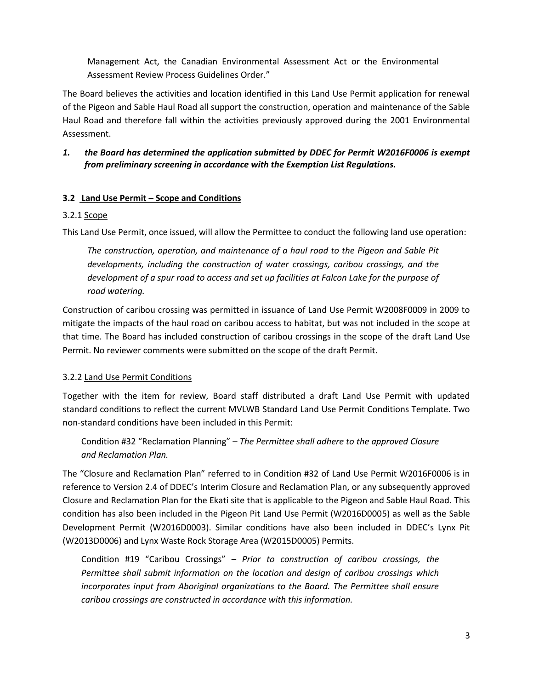Management Act, the Canadian Environmental Assessment Act or the Environmental Assessment Review Process Guidelines Order."

The Board believes the activities and location identified in this Land Use Permit application for renewal of the Pigeon and Sable Haul Road all support the construction, operation and maintenance of the Sable Haul Road and therefore fall within the activities previously approved during the 2001 Environmental Assessment.

### 1. the Board has determined the application submitted by DDEC for Permit W2016F0006 is exempt *from preliminary screening in accordance with the Exemption List Regulations.*

#### **3.2 Land Use Permit – Scope and Conditions**

#### 3.2.1 Scope

This Land Use Permit, once issued, will allow the Permittee to conduct the following land use operation:

*The construction, operation, and maintenance of a haul road to the Pigeon and Sable Pit developments, including the construction of water crossings, caribou crossings, and the development of a spur road to access and set up facilities at Falcon Lake for the purpose of road watering.* 

Construction of caribou crossing was permitted in issuance of Land Use Permit W2008F0009 in 2009 to mitigate the impacts of the haul road on caribou access to habitat, but was not included in the scope at that time. The Board has included construction of caribou crossings in the scope of the draft Land Use Permit. No reviewer comments were submitted on the scope of the draft Permit.

#### 3.2.2 Land Use Permit Conditions

Together with the item for review, Board staff distributed a draft Land Use Permit with updated standard conditions to reflect the current MVLWB Standard Land Use Permit Conditions Template. Two non-standard conditions have been included in this Permit:

Condition #32 "Reclamation Planning" – *The Permittee shall adhere to the approved Closure and Reclamation Plan.*

The "Closure and Reclamation Plan" referred to in Condition #32 of Land Use Permit W2016F0006 is in reference to Version 2.4 of DDEC's Interim Closure and Reclamation Plan, or any subsequently approved Closure and Reclamation Plan for the Ekati site that is applicable to the Pigeon and Sable Haul Road. This condition has also been included in the Pigeon Pit Land Use Permit (W2016D0005) as well as the Sable Development Permit (W2016D0003). Similar conditions have also been included in DDEC's Lynx Pit (W2013D0006) and Lynx Waste Rock Storage Area (W2015D0005) Permits.

Condition #19 "Caribou Crossings" – *Prior to construction of caribou crossings, the Permittee shall submit information on the location and design of caribou crossings which incorporates input from Aboriginal organizations to the Board. The Permittee shall ensure caribou crossings are constructed in accordance with this information.*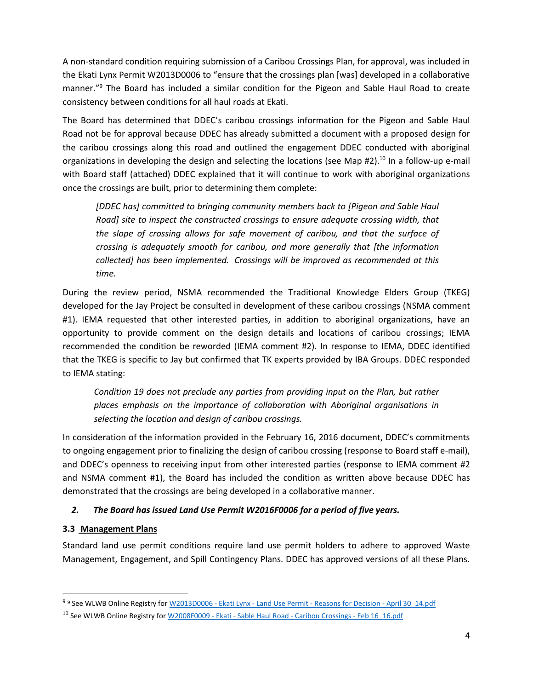A non-standard condition requiring submission of a Caribou Crossings Plan, for approval, was included in the Ekati Lynx Permit W2013D0006 to "ensure that the crossings plan [was] developed in a collaborative manner."<sup>9</sup> The Board has included a similar condition for the Pigeon and Sable Haul Road to create consistency between conditions for all haul roads at Ekati.

The Board has determined that DDEC's caribou crossings information for the Pigeon and Sable Haul Road not be for approval because DDEC has already submitted a document with a proposed design for the caribou crossings along this road and outlined the engagement DDEC conducted with aboriginal organizations in developing the design and selecting the locations (see Map #2).<sup>10</sup> In a follow-up e-mail with Board staff (attached) DDEC explained that it will continue to work with aboriginal organizations once the crossings are built, prior to determining them complete:

*[DDEC has] committed to bringing community members back to [Pigeon and Sable Haul Road] site to inspect the constructed crossings to ensure adequate crossing width, that the slope of crossing allows for safe movement of caribou, and that the surface of crossing is adequately smooth for caribou, and more generally that [the information collected] has been implemented. Crossings will be improved as recommended at this time.*

During the review period, NSMA recommended the Traditional Knowledge Elders Group (TKEG) developed for the Jay Project be consulted in development of these caribou crossings (NSMA comment #1). IEMA requested that other interested parties, in addition to aboriginal organizations, have an opportunity to provide comment on the design details and locations of caribou crossings; IEMA recommended the condition be reworded (IEMA comment #2). In response to IEMA, DDEC identified that the TKEG is specific to Jay but confirmed that TK experts provided by IBA Groups. DDEC responded to IEMA stating:

*Condition 19 does not preclude any parties from providing input on the Plan, but rather places emphasis on the importance of collaboration with Aboriginal organisations in selecting the location and design of caribou crossings.* 

In consideration of the information provided in the February 16, 2016 document, DDEC's commitments to ongoing engagement prior to finalizing the design of caribou crossing (response to Board staff e-mail), and DDEC's openness to receiving input from other interested parties (response to IEMA comment #2 and NSMA comment #1), the Board has included the condition as written above because DDEC has demonstrated that the crossings are being developed in a collaborative manner.

#### *2. The Board has issued Land Use Permit W2016F0006 for a period of five years.*

#### **3.3 Management Plans**

l

Standard land use permit conditions require land use permit holders to adhere to approved Waste Management, Engagement, and Spill Contingency Plans. DDEC has approved versions of all these Plans.

<sup>9 9</sup> See WLWB Online Registry for W2013D0006 - Ekati Lynx - Land Use Permit - [Reasons for Decision -](http://www.mvlwb.ca/Boards/WLWB/Registry/2013/W2013D0006/W2013D0006%20-%20Ekati%20Lynx%20-%20Land%20Use%20Permit%20-%20Reasons%20for%20Decision%20-%20April%2030_14.pdf) April 30\_14.pdf

<sup>&</sup>lt;sup>10</sup> See WLWB Online Registry for W2008F0009 - Ekati - Sable Haul Road - [Caribou Crossings -](http://www.mvlwb.ca/Boards/WLWB/Registry/2008/W2008F0009/W2008F0009%20-%20Ekati%20-%20Sable%20Haul%20Road%20-%20Caribou%20Crossings%20-%20Feb%2016_16.pdf) Feb 16\_16.pdf